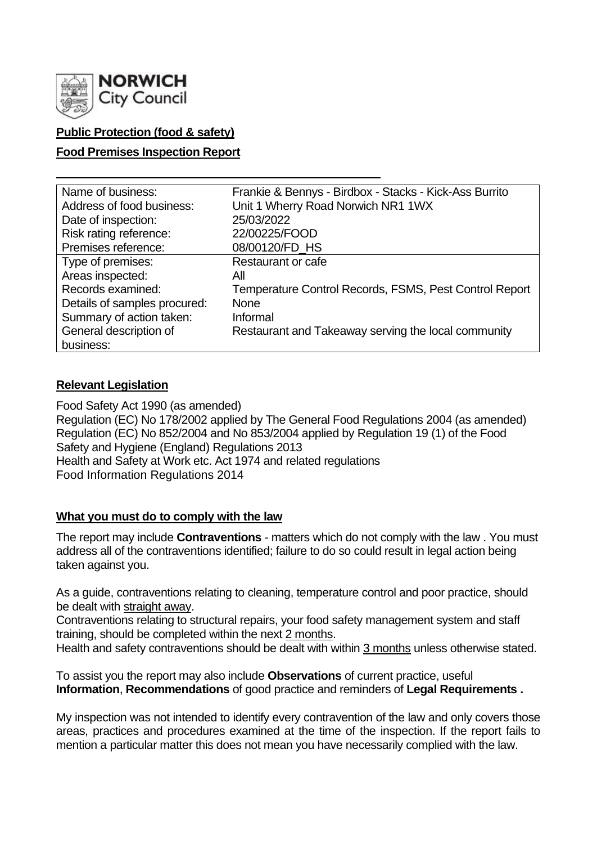

# **Public Protection (food & safety)**

## **Food Premises Inspection Report**

| Name of business:            | Frankie & Bennys - Birdbox - Stacks - Kick-Ass Burrito |
|------------------------------|--------------------------------------------------------|
| Address of food business:    | Unit 1 Wherry Road Norwich NR1 1WX                     |
| Date of inspection:          | 25/03/2022                                             |
| Risk rating reference:       | 22/00225/FOOD                                          |
| Premises reference:          | 08/00120/FD_HS                                         |
| Type of premises:            | Restaurant or cafe                                     |
| Areas inspected:             | All                                                    |
| Records examined:            | Temperature Control Records, FSMS, Pest Control Report |
| Details of samples procured: | <b>None</b>                                            |
| Summary of action taken:     | Informal                                               |
| General description of       | Restaurant and Takeaway serving the local community    |
| business:                    |                                                        |

## **Relevant Legislation**

Food Safety Act 1990 (as amended) Regulation (EC) No 178/2002 applied by The General Food Regulations 2004 (as amended) Regulation (EC) No 852/2004 and No 853/2004 applied by Regulation 19 (1) of the Food Safety and Hygiene (England) Regulations 2013 Health and Safety at Work etc. Act 1974 and related regulations Food Information Regulations 2014

# **What you must do to comply with the law**

The report may include **Contraventions** - matters which do not comply with the law . You must address all of the contraventions identified; failure to do so could result in legal action being taken against you.

As a guide, contraventions relating to cleaning, temperature control and poor practice, should be dealt with straight away.

Contraventions relating to structural repairs, your food safety management system and staff training, should be completed within the next 2 months.

Health and safety contraventions should be dealt with within 3 months unless otherwise stated.

To assist you the report may also include **Observations** of current practice, useful **Information**, **Recommendations** of good practice and reminders of **Legal Requirements .**

My inspection was not intended to identify every contravention of the law and only covers those areas, practices and procedures examined at the time of the inspection. If the report fails to mention a particular matter this does not mean you have necessarily complied with the law.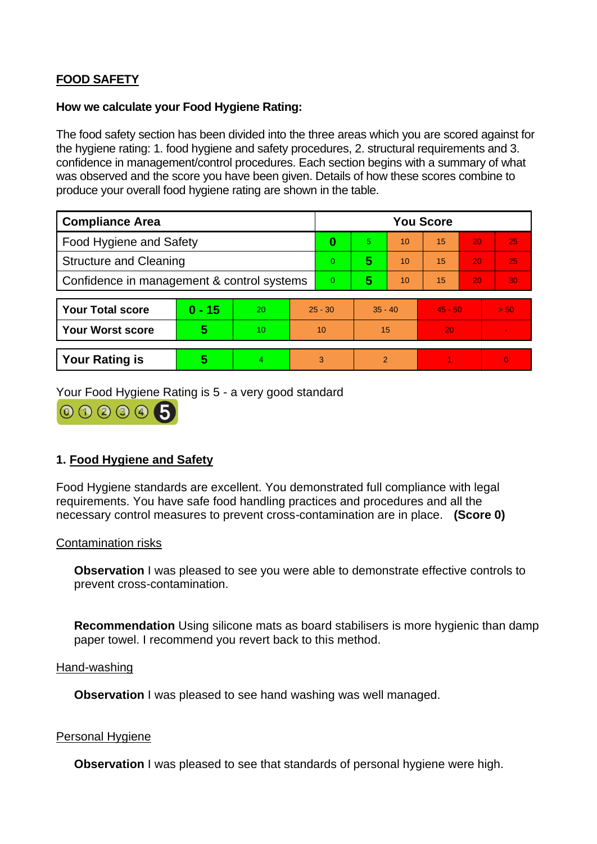# **FOOD SAFETY**

#### **How we calculate your Food Hygiene Rating:**

The food safety section has been divided into the three areas which you are scored against for the hygiene rating: 1. food hygiene and safety procedures, 2. structural requirements and 3. confidence in management/control procedures. Each section begins with a summary of what was observed and the score you have been given. Details of how these scores combine to produce your overall food hygiene rating are shown in the table.

| <b>Compliance Area</b>                     |          |    |           | <b>You Score</b> |               |    |           |    |                          |  |  |
|--------------------------------------------|----------|----|-----------|------------------|---------------|----|-----------|----|--------------------------|--|--|
| <b>Food Hygiene and Safety</b>             |          |    |           | 0                | 5             | 10 | 15        | 20 | 25                       |  |  |
| <b>Structure and Cleaning</b>              |          |    |           | $\Omega$         | 5             | 10 | 15        | 20 | 25                       |  |  |
| Confidence in management & control systems |          |    |           | $\overline{0}$   | 5             | 10 | 15        | 20 | 30                       |  |  |
|                                            |          |    |           |                  |               |    |           |    |                          |  |  |
| <b>Your Total score</b>                    | $0 - 15$ | 20 | $25 - 30$ |                  | $35 - 40$     |    | $45 - 50$ |    | > 50                     |  |  |
| <b>Your Worst score</b>                    | 5        | 10 | 10        |                  | 15            |    | 20        |    | $\overline{\phantom{a}}$ |  |  |
|                                            |          |    |           |                  |               |    |           |    |                          |  |  |
| <b>Your Rating is</b>                      | 5        | 4  | 3         |                  | $\mathcal{P}$ |    |           |    | $\overline{0}$           |  |  |

Your Food Hygiene Rating is 5 - a very good standard



# **1. Food Hygiene and Safety**

Food Hygiene standards are excellent. You demonstrated full compliance with legal requirements. You have safe food handling practices and procedures and all the necessary control measures to prevent cross-contamination are in place. **(Score 0)**

## Contamination risks

**Observation** I was pleased to see you were able to demonstrate effective controls to prevent cross-contamination.

**Recommendation** Using silicone mats as board stabilisers is more hygienic than damp paper towel. I recommend you revert back to this method.

#### Hand-washing

**Observation** I was pleased to see hand washing was well managed.

#### Personal Hygiene

**Observation** I was pleased to see that standards of personal hygiene were high.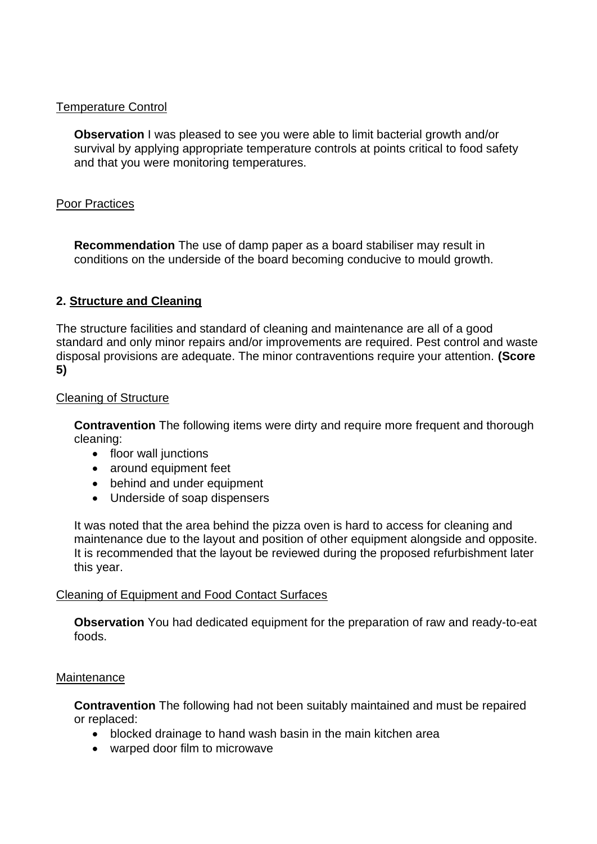## Temperature Control

**Observation** I was pleased to see you were able to limit bacterial growth and/or survival by applying appropriate temperature controls at points critical to food safety and that you were monitoring temperatures.

## Poor Practices

**Recommendation** The use of damp paper as a board stabiliser may result in conditions on the underside of the board becoming conducive to mould growth.

## **2. Structure and Cleaning**

The structure facilities and standard of cleaning and maintenance are all of a good standard and only minor repairs and/or improvements are required. Pest control and waste disposal provisions are adequate. The minor contraventions require your attention. **(Score 5)**

## Cleaning of Structure

**Contravention** The following items were dirty and require more frequent and thorough cleaning:

- floor wall junctions
- around equipment feet
- behind and under equipment
- Underside of soap dispensers

It was noted that the area behind the pizza oven is hard to access for cleaning and maintenance due to the layout and position of other equipment alongside and opposite. It is recommended that the layout be reviewed during the proposed refurbishment later this year.

## Cleaning of Equipment and Food Contact Surfaces

**Observation** You had dedicated equipment for the preparation of raw and ready-to-eat foods.

## Maintenance

**Contravention** The following had not been suitably maintained and must be repaired or replaced:

- blocked drainage to hand wash basin in the main kitchen area
- warped door film to microwave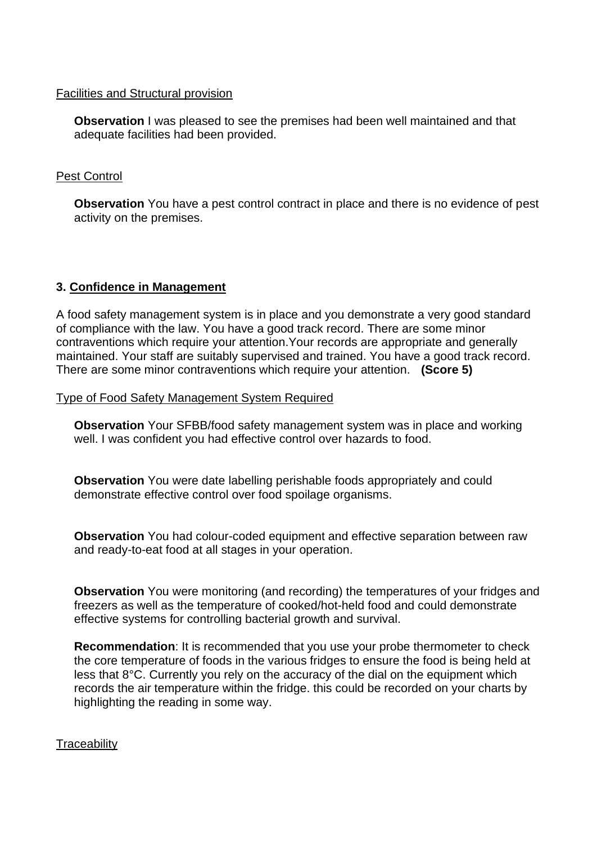#### Facilities and Structural provision

**Observation** I was pleased to see the premises had been well maintained and that adequate facilities had been provided.

## Pest Control

**Observation** You have a pest control contract in place and there is no evidence of pest activity on the premises.

# **3. Confidence in Management**

A food safety management system is in place and you demonstrate a very good standard of compliance with the law. You have a good track record. There are some minor contraventions which require your attention.Your records are appropriate and generally maintained. Your staff are suitably supervised and trained. You have a good track record. There are some minor contraventions which require your attention. **(Score 5)**

Type of Food Safety Management System Required

**Observation** Your SFBB/food safety management system was in place and working well. I was confident you had effective control over hazards to food.

**Observation** You were date labelling perishable foods appropriately and could demonstrate effective control over food spoilage organisms.

**Observation** You had colour-coded equipment and effective separation between raw and ready-to-eat food at all stages in your operation.

**Observation** You were monitoring (and recording) the temperatures of your fridges and freezers as well as the temperature of cooked/hot-held food and could demonstrate effective systems for controlling bacterial growth and survival.

**Recommendation**: It is recommended that you use your probe thermometer to check the core temperature of foods in the various fridges to ensure the food is being held at less that 8°C. Currently you rely on the accuracy of the dial on the equipment which records the air temperature within the fridge. this could be recorded on your charts by highlighting the reading in some way.

## **Traceability**